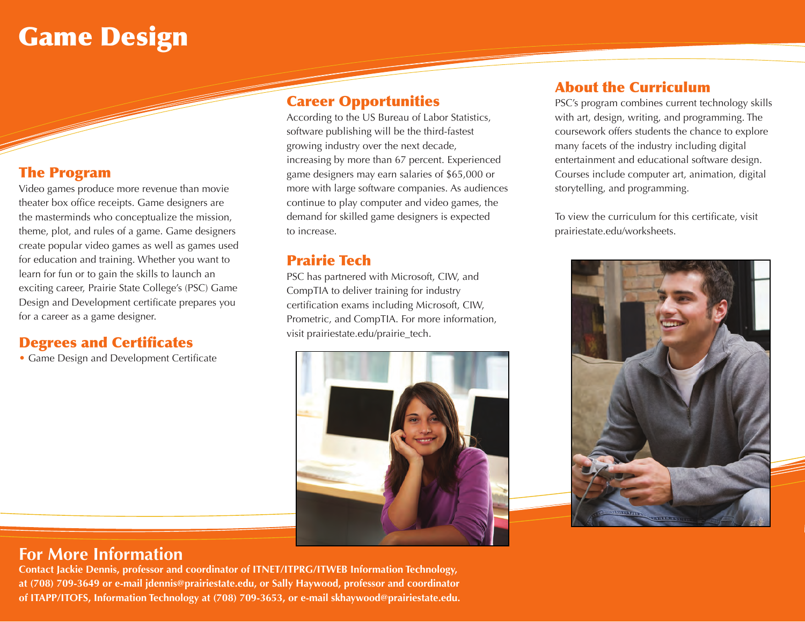## Game Design

### The Program

Video games produce more revenue than movie theater box office receipts. Game designers are the masterminds who conceptualize the mission, theme, plot, and rules of a game. Game designers create popular video games as well as games used for education and training. Whether you want to learn for fun or to gain the skills to launch an exciting career, Prairie State College's (PSC) Game Design and Development certificate prepares you for a career as a game designer.

#### Degrees and Certificates

• Game Design and Development Certificate

#### Career Opportunities

According to the US Bureau of Labor Statistics, software publishing will be the third-fastest growing industry over the next decade, increasing by more than 67 percent. Experienced game designers may earn salaries of \$65,000 or more with large software companies. As audiences continue to play computer and video games, the demand for skilled game designers is expected to increase.

## Prairie Tech

PSC has partnered with Microsoft, CIW, and CompTIA to deliver training for industry certification exams including Microsoft, CIW, Prometric, and CompTIA. For more information, visit prairiestate.edu/prairie\_tech.



## About the Curriculum

PSC's program combines current technology skills with art, design, writing, and programming. The coursework offers students the chance to explore many facets of the industry including digital entertainment and educational software design. Courses include computer art, animation, digital storytelling, and programming.

To view the curriculum for this certificate, visit prairiestate.edu/worksheets.



## **For More Information**

**Contact Jackie Dennis, professor and coordinator of ITNET/ITPRG/ITWEB Information Technology, at (708) 709-3649 or e-mail jdennis@prairiestate.edu, or Sally Haywood, professor and coordinator of ITAPP/ITOFS, Information Technology at (708) 709-3653, or e-mail skhaywood@prairiestate.edu.**